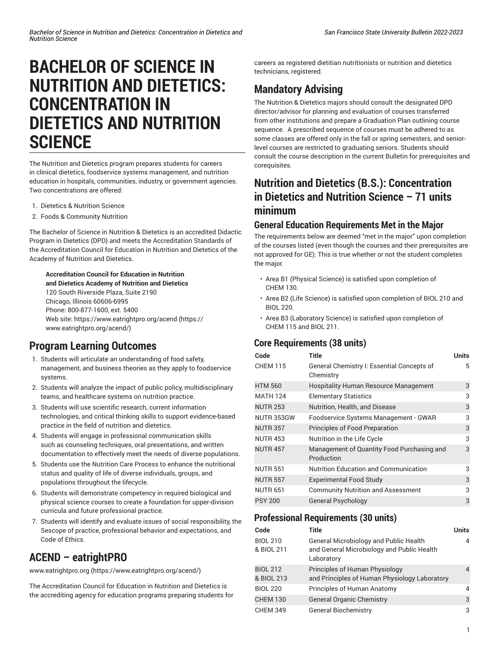# **BACHELOR OF SCIENCE IN NUTRITION AND DIETETICS: CONCENTRATION IN DIETETICS AND NUTRITION SCIENCE**

The Nutrition and Dietetics program prepares students for careers in clinical dietetics, foodservice systems management, and nutrition education in hospitals, communities, industry, or government agencies. Two concentrations are offered:

- 1. Dietetics & Nutrition Science
- 2. Foods & Community Nutrition

The Bachelor of Science in Nutrition & Dietetics is an accredited Didactic Program in Dietetics (DPD) and meets the Accreditation Standards of the Accreditation Council for Education in Nutrition and Dietetics of the Academy of Nutrition and Dietetics.

#### **Accreditation Council for Education in Nutrition and Dietetics Academy of Nutrition and Dietetics**

120 South Riverside Plaza, Suite 2190 Chicago, Illinois 60606-6995 Phone: 800-877-1600, ext. 5400 Web site: [https://www.eatrightpro.org/acend](https://www.eatrightpro.org/acend/) ([https://](https://www.eatrightpro.org/acend/) [www.eatrightpro.org/acend/\)](https://www.eatrightpro.org/acend/)

# **Program Learning Outcomes**

- 1. Students will articulate an understanding of food safety, management, and business theories as they apply to foodservice systems.
- 2. Students will analyze the impact of public policy, multidisciplinary teams, and healthcare systems on nutrition practice.
- 3. Students will use scientific research, current information technologies, and critical thinking skills to support evidence-based practice in the field of nutrition and dietetics.
- 4. Students will engage in professional communication skills such as counseling techniques, oral presentations, and written documentation to effectively meet the needs of diverse populations.
- 5. Students use the Nutrition Care Process to enhance the nutritional status and quality of life of diverse individuals, groups, and populations throughout the lifecycle.
- 6. Students will demonstrate competency in required biological and physical science courses to create a foundation for upper-division curricula and future professional practice.
- 7. Students will identify and evaluate issues of social responsibility, the Sescope of practice, professional behavior and expectations, and Code of Ethics.

# **ACEND – eatrightPRO**

[www.eatrightpro.org](https://www.eatrightpro.org/acend/) [\(https://www.eatrightpro.org/acend/](https://www.eatrightpro.org/acend/))

The Accreditation Council for Education in Nutrition and Dietetics is the accrediting agency for education programs preparing students for

careers as registered dietitian nutritionists or nutrition and dietetics technicians, registered.

# **Mandatory Advising**

The Nutrition & Dietetics majors should consult the designated DPD director/advisor for planning and evaluation of courses transferred from other institutions and prepare a Graduation Plan outlining course sequence. A prescribed sequence of courses must be adhered to as some classes are offered only in the fall or spring semesters, and seniorlevel courses are restricted to graduating seniors. Students should consult the course description in the current Bulletin for prerequisites and corequisites.

# **Nutrition and Dietetics (B.S.): Concentration in Dietetics and Nutrition Science – 71 units minimum**

#### **General Education Requirements Met in the Major**

The requirements below are deemed "met in the major" upon completion of the courses listed (even though the courses and their prerequisites are not approved for GE). This is true whether or not the student completes the major.

- Area B1 (Physical Science) is satisfied upon completion of CHEM 130.
- Area B2 (Life Science) is satisfied upon completion of BIOL 210 and BIOL 220.
- Area B3 (Laboratory Science) is satisfied upon completion of CHEM 115 and BIOL 211.

#### **Core Requirements (38 units)**

| Code            | Title                                                    | <b>Units</b> |
|-----------------|----------------------------------------------------------|--------------|
| <b>CHEM 115</b> | General Chemistry I: Essential Concepts of<br>Chemistry  | 5            |
| <b>HTM 560</b>  | <b>Hospitality Human Resource Management</b>             | 3            |
| <b>MATH 124</b> | <b>Elementary Statistics</b>                             | 3            |
| <b>NUTR 253</b> | Nutrition, Health, and Disease                           | 3            |
| NUTR 353GW      | Foodservice Systems Management - GWAR                    | 3            |
| <b>NUTR 357</b> | Principles of Food Preparation                           | 3            |
| <b>NUTR 453</b> | Nutrition in the Life Cycle                              | 3            |
| <b>NUTR 457</b> | Management of Quantity Food Purchasing and<br>Production | 3            |
| <b>NUTR 551</b> | Nutrition Education and Communication                    | 3            |
| <b>NUTR 557</b> | <b>Experimental Food Study</b>                           | 3            |
| <b>NUTR 651</b> | <b>Community Nutrition and Assessment</b>                | 3            |
| <b>PSY 200</b>  | <b>General Psychology</b>                                | 3            |

#### **Professional Requirements (30 units)**

| Code                          | <b>Title</b>                                                                                              | <b>Units</b> |
|-------------------------------|-----------------------------------------------------------------------------------------------------------|--------------|
| <b>BIOL 210</b><br>& BIOL 211 | <b>General Microbiology and Public Health</b><br>and General Microbiology and Public Health<br>Laboratory | 4            |
| <b>BIOL 212</b><br>& BIOL 213 | Principles of Human Physiology<br>and Principles of Human Physiology Laboratory                           | 4            |
| <b>BIOL 220</b>               | Principles of Human Anatomy                                                                               | 4            |
| <b>CHEM 130</b>               | <b>General Organic Chemistry</b>                                                                          | 3            |
| <b>CHEM 349</b>               | <b>General Biochemistry</b>                                                                               | 3            |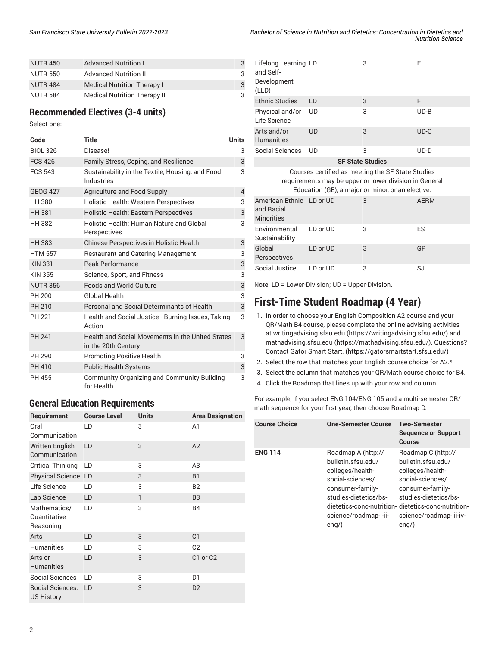| <b>NUTR 450</b> | <b>Advanced Nutrition I</b>         | 3 |
|-----------------|-------------------------------------|---|
| <b>NUTR 550</b> | <b>Advanced Nutrition II</b>        | 3 |
| <b>NUTR 484</b> | <b>Medical Nutrition Therapy I</b>  | 3 |
| <b>NUTR 584</b> | <b>Medical Nutrition Therapy II</b> | 3 |

#### **Recommended Electives (3-4 units)**

Select one:

| Code            | <b>Title</b>                                                            | Units          |
|-----------------|-------------------------------------------------------------------------|----------------|
| <b>BIOL 326</b> | Disease!                                                                | 3              |
| <b>FCS 426</b>  | Family Stress, Coping, and Resilience                                   | 3              |
| <b>FCS 543</b>  | Sustainability in the Textile, Housing, and Food<br>Industries          | 3              |
| <b>GEOG 427</b> | Agriculture and Food Supply                                             | $\overline{4}$ |
| <b>HH 380</b>   | <b>Holistic Health: Western Perspectives</b>                            | 3              |
| <b>HH 381</b>   | <b>Holistic Health: Eastern Perspectives</b>                            | 3              |
| <b>HH 382</b>   | Holistic Health: Human Nature and Global<br>Perspectives                | 3              |
| <b>HH 383</b>   | Chinese Perspectives in Holistic Health                                 | 3              |
| <b>HTM 557</b>  | <b>Restaurant and Catering Management</b>                               | 3              |
| <b>KIN 331</b>  | Peak Performance                                                        | 3              |
| <b>KIN 355</b>  | Science, Sport, and Fitness                                             | 3              |
| <b>NUTR 356</b> | Foods and World Culture                                                 | 3              |
| PH 200          | Global Health                                                           | 3              |
| PH 210          | Personal and Social Determinants of Health                              | 3              |
| PH 221          | Health and Social Justice - Burning Issues, Taking<br>Action            | 3              |
| <b>PH 241</b>   | Health and Social Movements in the United States<br>in the 20th Century | 3              |
| PH 290          | <b>Promoting Positive Health</b>                                        | 3              |
| PH 410          | <b>Public Health Systems</b>                                            | 3              |
| PH 455          | Community Organizing and Community Building<br>for Health               | 3              |

#### **General Education Requirements**

| Requirement                               | <b>Course Level</b> | <b>Units</b> | <b>Area Designation</b>          |
|-------------------------------------------|---------------------|--------------|----------------------------------|
| Oral<br>Communication                     | LD                  | 3            | A1                               |
| <b>Written English</b><br>Communication   | LD                  | 3            | A2                               |
| <b>Critical Thinking</b>                  | LD                  | 3            | A <sub>3</sub>                   |
| Physical Science LD                       |                     | 3            | <b>B1</b>                        |
| Life Science                              | LD                  | 3            | <b>B2</b>                        |
| Lab Science                               | LD                  | $\mathbf{1}$ | B <sub>3</sub>                   |
| Mathematics/<br>Quantitative<br>Reasoning | LD                  | 3            | <b>B4</b>                        |
| Arts                                      | LD                  | 3            | C <sub>1</sub>                   |
| <b>Humanities</b>                         | LD                  | 3            | C <sub>2</sub>                   |
| Arts or<br><b>Humanities</b>              | LD                  | 3            | C <sub>1</sub> or C <sub>2</sub> |
| <b>Social Sciences</b>                    | LD                  | 3            | D1                               |
| Social Sciences:<br><b>US History</b>     | LD                  | 3            | D <sub>2</sub>                   |

| Bachelor of Science in Nutrition and Dietetics: Concentration in Dietetics and |                          |
|--------------------------------------------------------------------------------|--------------------------|
|                                                                                | <b>Nutrition Science</b> |

| Lifelong Learning LD<br>and Self-<br>Development<br>(LLD)                                                                                                        |           | 3 | F           |
|------------------------------------------------------------------------------------------------------------------------------------------------------------------|-----------|---|-------------|
| <b>Ethnic Studies</b>                                                                                                                                            | LD        | 3 | F           |
| Physical and/or<br>Life Science                                                                                                                                  | UD        | 3 | $UD-B$      |
| Arts and/or<br><b>Humanities</b>                                                                                                                                 | <b>UD</b> | 3 | $UD-C$      |
| Social Sciences                                                                                                                                                  | UD        | 3 | $UD-D$      |
| <b>SF State Studies</b>                                                                                                                                          |           |   |             |
| Courses certified as meeting the SF State Studies<br>requirements may be upper or lower division in General<br>Education (GE), a major or minor, or an elective. |           |   |             |
|                                                                                                                                                                  |           |   |             |
| American Ethnic LD or UD<br>and Racial<br><b>Minorities</b>                                                                                                      |           | 3 | <b>AERM</b> |
| Environmental<br>Sustainability                                                                                                                                  | LD or UD  | 3 | ES          |
| Global<br>Perspectives                                                                                                                                           | LD or UD  | 3 | GP          |

Note: LD = Lower-Division; UD = Upper-Division.

# **First-Time Student Roadmap (4 Year)**

- 1. In order to choose your English Composition A2 course and your QR/Math B4 course, please complete the online advising activities at [writingadvising.sfsu.edu \(https://writingadvising.sfsu.edu/](https://writingadvising.sfsu.edu/)) and [mathadvising.sfsu.edu \(https://mathadvising.sfsu.edu/](https://mathadvising.sfsu.edu/)). Questions? Contact Gator [Smart](https://gatorsmartstart.sfsu.edu/) Start. ([https://gatorsmartstart.sfsu.edu/\)](https://gatorsmartstart.sfsu.edu/)
- 2. Select the row that matches your English course choice for A2.\*
- 3. Select the column that matches your QR/Math course choice for B4.
- 4. Click the Roadmap that lines up with your row and column.

For example, if you select ENG 104/ENG 105 and a multi-semester QR/ math sequence for your first year, then choose Roadmap D.

| <b>Course Choice</b> | <b>One-Semester Course</b>                                                                                                                                                                                               | <b>Two-Semester</b><br><b>Sequence or Support</b><br>Course                                                                                                         |
|----------------------|--------------------------------------------------------------------------------------------------------------------------------------------------------------------------------------------------------------------------|---------------------------------------------------------------------------------------------------------------------------------------------------------------------|
| ENG 114              | Roadmap A (http://<br>bulletin.sfsu.edu/<br>colleges/health-<br>social-sciences/<br>consumer-family-<br>studies-dietetics/bs-<br>dietetics-conc-nutrition- dietetics-conc-nutrition-<br>science/roadmap-i-ii-<br>$enq$ ) | Roadmap C (http://<br>bulletin.sfsu.edu/<br>colleges/health-<br>social-sciences/<br>consumer-family-<br>studies-dietetics/bs-<br>science/roadmap-iii-iv-<br>$enq$ ) |
|                      |                                                                                                                                                                                                                          |                                                                                                                                                                     |